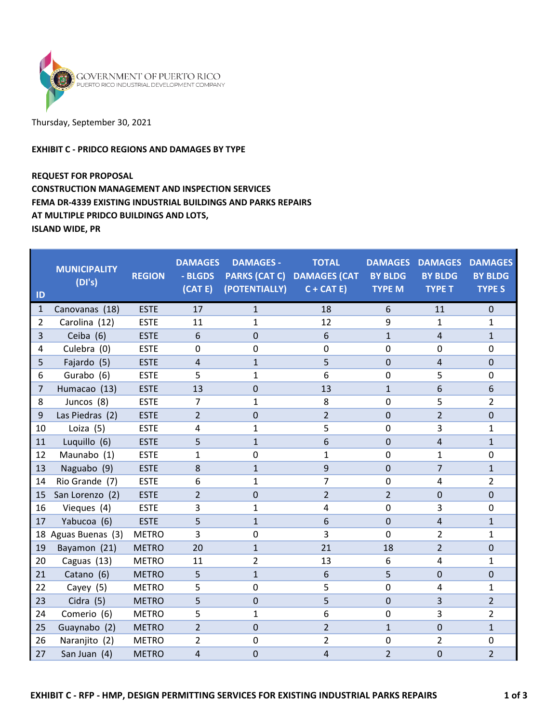

# Thursday, September 30, 2021

### EXHIBIT C - PRIDCO REGIONS AND DAMAGES BY TYPE

# REQUEST FOR PROPOSAL CONSTRUCTION MANAGEMENT AND INSPECTION SERVICES

## FEMA DR-4339 EXISTING INDUSTRIAL BUILDINGS AND PARKS REPAIRS

AT MULTIPLE PRIDCO BUILDINGS AND LOTS,

ISLAND WIDE, PR

| ID             | <b>MUNICIPALITY</b><br>(DI's) | <b>REGION</b> | <b>DAMAGES</b><br>- BLGDS<br>(CAT E) | <b>DAMAGES -</b><br><b>PARKS (CAT C)</b><br>(POTENTIALLY) | <b>TOTAL</b><br><b>DAMAGES (CAT</b><br>$C + CAT E$ | <b>BY BLDG</b><br><b>TYPE M</b> | <b>DAMAGES DAMAGES</b><br><b>BY BLDG</b><br><b>TYPE T</b> | <b>DAMAGES</b><br><b>BY BLDG</b><br><b>TYPE S</b> |
|----------------|-------------------------------|---------------|--------------------------------------|-----------------------------------------------------------|----------------------------------------------------|---------------------------------|-----------------------------------------------------------|---------------------------------------------------|
| $\mathbf{1}$   | Canovanas (18)                | <b>ESTE</b>   | 17                                   | $\mathbf{1}$                                              | 18                                                 | 6                               | 11                                                        | $\mathbf 0$                                       |
| $\overline{2}$ | Carolina (12)                 | <b>ESTE</b>   | 11                                   | $\mathbf{1}$                                              | 12                                                 | 9                               | 1                                                         | $\mathbf{1}$                                      |
| 3              | Ceiba (6)                     | <b>ESTE</b>   | 6                                    | $\Omega$                                                  | 6                                                  | $\mathbf{1}$                    | $\overline{4}$                                            | $\mathbf{1}$                                      |
| $\overline{4}$ | Culebra (0)                   | <b>ESTE</b>   | $\mathbf 0$                          | 0                                                         | $\mathbf 0$                                        | 0                               | $\mathbf 0$                                               | $\mathbf 0$                                       |
| 5              | Fajardo (5)                   | <b>ESTE</b>   | $\overline{4}$                       | $\mathbf{1}$                                              | 5                                                  | $\mathbf 0$                     | 4                                                         | $\mathbf{0}$                                      |
| 6              | Gurabo (6)                    | <b>ESTE</b>   | 5                                    | $\mathbf{1}$                                              | 6                                                  | 0                               | 5                                                         | $\mathbf 0$                                       |
| $\overline{7}$ | Humacao (13)                  | <b>ESTE</b>   | 13                                   | 0                                                         | 13                                                 | $\mathbf{1}$                    | 6                                                         | 6                                                 |
| 8              | Juncos (8)                    | <b>ESTE</b>   | $\overline{7}$                       | $\mathbf{1}$                                              | 8                                                  | 0                               | 5                                                         | $\overline{2}$                                    |
| 9              | Las Piedras (2)               | <b>ESTE</b>   | $\overline{2}$                       | 0                                                         | $\overline{2}$                                     | $\overline{0}$                  | $\overline{2}$                                            | $\mathbf{0}$                                      |
| 10             | Loiza (5)                     | <b>ESTE</b>   | 4                                    | $\mathbf{1}$                                              | 5                                                  | 0                               | 3                                                         | $\mathbf{1}$                                      |
| 11             | Luquillo (6)                  | <b>ESTE</b>   | 5                                    | $\mathbf{1}$                                              | 6                                                  | $\mathbf 0$                     | $\overline{4}$                                            | $\mathbf{1}$                                      |
| 12             | Maunabo (1)                   | <b>ESTE</b>   | $\mathbf{1}$                         | 0                                                         | $\mathbf{1}$                                       | 0                               | $\mathbf{1}$                                              | 0                                                 |
| 13             | Naguabo (9)                   | <b>ESTE</b>   | 8                                    | $\mathbf{1}$                                              | 9                                                  | $\mathbf 0$                     | $\overline{7}$                                            | $\mathbf{1}$                                      |
| 14             | Rio Grande (7)                | <b>ESTE</b>   | 6                                    | 1                                                         | $\overline{7}$                                     | 0                               | 4                                                         | $\overline{2}$                                    |
| 15             | San Lorenzo (2)               | <b>ESTE</b>   | $\overline{2}$                       | 0                                                         | $\overline{2}$                                     | $\overline{2}$                  | $\mathbf{0}$                                              | $\mathbf{0}$                                      |
| 16             | Vieques (4)                   | <b>ESTE</b>   | 3                                    | $\mathbf{1}$                                              | 4                                                  | 0                               | 3                                                         | $\mathbf 0$                                       |
| 17             | Yabucoa (6)                   | <b>ESTE</b>   | 5                                    | $\mathbf{1}$                                              | 6                                                  | $\mathbf{0}$                    | $\overline{4}$                                            | $\mathbf{1}$                                      |
|                | 18 Aguas Buenas (3)           | <b>METRO</b>  | 3                                    | 0                                                         | 3                                                  | $\mathbf 0$                     | $\overline{2}$                                            | $\mathbf{1}$                                      |
| 19             | Bayamon (21)                  | <b>METRO</b>  | 20                                   | $\mathbf{1}$                                              | 21                                                 | 18                              | $\overline{2}$                                            | $\mathbf 0$                                       |
| 20             | Caguas (13)                   | <b>METRO</b>  | 11                                   | $\overline{2}$                                            | 13                                                 | 6                               | 4                                                         | $\mathbf{1}$                                      |
| 21             | Catano (6)                    | <b>METRO</b>  | 5                                    | $\mathbf{1}$                                              | 6                                                  | 5                               | $\mathbf 0$                                               | $\mathbf 0$                                       |
| 22             | Cayey (5)                     | <b>METRO</b>  | 5                                    | $\mathbf 0$                                               | 5                                                  | $\mathbf 0$                     | $\overline{4}$                                            | $\mathbf{1}$                                      |
| 23             | Cidra (5)                     | <b>METRO</b>  | 5                                    | $\mathbf 0$                                               | 5                                                  | $\mathbf 0$                     | 3                                                         | $\overline{2}$                                    |
| 24             | Comerio (6)                   | <b>METRO</b>  | 5                                    | $\mathbf{1}$                                              | 6                                                  | 0                               | 3                                                         | $\overline{2}$                                    |
| 25             | Guaynabo (2)                  | <b>METRO</b>  | $\overline{2}$                       | $\overline{0}$                                            | $\overline{2}$                                     | $\mathbf{1}$                    | $\mathbf 0$                                               | $\mathbf{1}$                                      |
| 26             | Naranjito (2)                 | <b>METRO</b>  | $\overline{2}$                       | 0                                                         | $\overline{2}$                                     | 0                               | 2                                                         | 0                                                 |
| 27             | San Juan (4)                  | <b>METRO</b>  | 4                                    | 0                                                         | 4                                                  | $\overline{2}$                  | $\mathbf 0$                                               | $\overline{2}$                                    |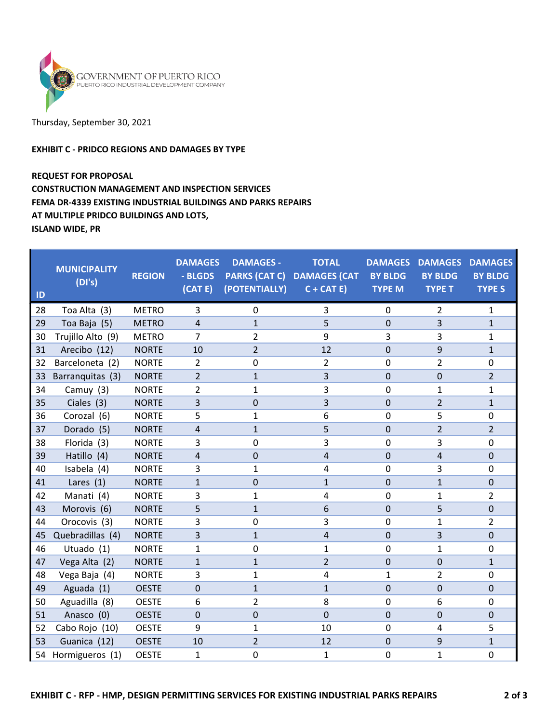

#### Thursday, September 30, 2021

### EXHIBIT C - PRIDCO REGIONS AND DAMAGES BY TYPE

# REQUEST FOR PROPOSAL CONSTRUCTION MANAGEMENT AND INSPECTION SERVICES FEMA DR-4339 EXISTING INDUSTRIAL BUILDINGS AND PARKS REPAIRS AT MULTIPLE PRIDCO BUILDINGS AND LOTS, ISLAND WIDE, PR

ID **MUNICIPALITY** (DI's) REGION **DAMAGES** - BLGDS (CAT E) DAMAGES - PARKS (CAT C) DAMAGES (CAT (POTENTIALLY) **TOTAL**  $C + CAT E$ DAMAGES DAMAGES DAMAGES BY BLDG TYPE M BY BLDG TYPE T BY BLDG TYPE S 28 Toa Alta (3) METRO 3 0 3 0 2 1 29 Toa Baja (5) METRO 4 1 5 0 3 1 30 Trujillo Alto (9) METRO 7 2 9 3 3 1 31 Arecibo (12) NORTE 10 2 12 0 9 1 32 Barceloneta (2) NORTE 2 0 2 0 2 0 33 Barranquitas (3) NORTE 2 1 3 0 0 2 34 Camuy (3) NORTE 2 1 3 0 1 1 35 Ciales (3) NORTE 3 0 3 0 2 1 36 Corozal (6) NORTE 5 1 6 0 5 0 37 Dorado (5) NORTE 4 1 5 0 2 2 38 Florida (3) NORTE 3 0 3 0 3 0 39 Hatillo (4) NORTE 4 0 4 0 4 0 40 Isabela (4) NORTE 3 1 4 0 3 0 41 Lares (1) NORTE 1 0 1 0 1 0 42 Manati (4) NORTE 3 1 4 0 1 2 43 Morovis (6) NORTE 5 1 6 0 5 0 44 Orocovis (3) NORTE 3 0 3 0 1 2 45 Quebradillas (4) NORTE 3 1 4 0 3 0 46 Utuado (1) NORTE 1 0 1 0 1 0 47 Vega Alta (2) NORTE 1 1 2 0 0 1 48 Vega Baja (4) NORTE 3 1 4 1 2 0 49 Aguada (1) OESTE 0 1 1 0 0 0 50 Aguadilla (8) OESTE 6 2 8 0 6 0 51 Anasco (0) OESTE 0 0 0 0 0 0 0 0 52 Cabo Rojo (10) OESTE 9 1 10 0 4 5 53 Guanica (12) OESTE 10 2 12 0 9 1 54 Hormigueros (1) OESTE 1 0 1 0 1 0 1 0